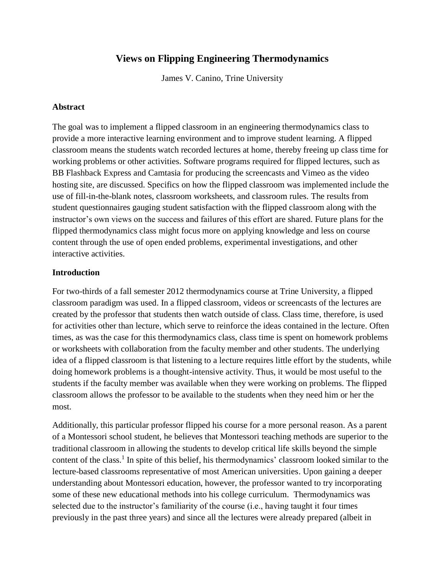# **Views on Flipping Engineering Thermodynamics**

James V. Canino, Trine University

#### **Abstract**

The goal was to implement a flipped classroom in an engineering thermodynamics class to provide a more interactive learning environment and to improve student learning. A flipped classroom means the students watch recorded lectures at home, thereby freeing up class time for working problems or other activities. Software programs required for flipped lectures, such as BB Flashback Express and Camtasia for producing the screencasts and Vimeo as the video hosting site, are discussed. Specifics on how the flipped classroom was implemented include the use of fill-in-the-blank notes, classroom worksheets, and classroom rules. The results from student questionnaires gauging student satisfaction with the flipped classroom along with the instructor's own views on the success and failures of this effort are shared. Future plans for the flipped thermodynamics class might focus more on applying knowledge and less on course content through the use of open ended problems, experimental investigations, and other interactive activities.

#### **Introduction**

For two-thirds of a fall semester 2012 thermodynamics course at Trine University, a flipped classroom paradigm was used. In a flipped classroom, videos or screencasts of the lectures are created by the professor that students then watch outside of class. Class time, therefore, is used for activities other than lecture, which serve to reinforce the ideas contained in the lecture. Often times, as was the case for this thermodynamics class, class time is spent on homework problems or worksheets with collaboration from the faculty member and other students. The underlying idea of a flipped classroom is that listening to a lecture requires little effort by the students, while doing homework problems is a thought-intensive activity. Thus, it would be most useful to the students if the faculty member was available when they were working on problems. The flipped classroom allows the professor to be available to the students when they need him or her the most.

Additionally, this particular professor flipped his course for a more personal reason. As a parent of a Montessori school student, he believes that Montessori teaching methods are superior to the traditional classroom in allowing the students to develop critical life skills beyond the simple content of the class.<sup>1</sup> In spite of this belief, his thermodynamics' classroom looked similar to the lecture-based classrooms representative of most American universities. Upon gaining a deeper understanding about Montessori education, however, the professor wanted to try incorporating some of these new educational methods into his college curriculum. Thermodynamics was selected due to the instructor's familiarity of the course (i.e., having taught it four times previously in the past three years) and since all the lectures were already prepared (albeit in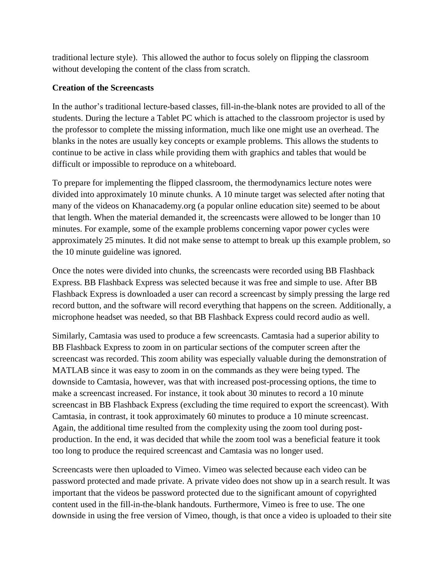traditional lecture style). This allowed the author to focus solely on flipping the classroom without developing the content of the class from scratch.

#### **Creation of the Screencasts**

In the author's traditional lecture-based classes, fill-in-the-blank notes are provided to all of the students. During the lecture a Tablet PC which is attached to the classroom projector is used by the professor to complete the missing information, much like one might use an overhead. The blanks in the notes are usually key concepts or example problems. This allows the students to continue to be active in class while providing them with graphics and tables that would be difficult or impossible to reproduce on a whiteboard.

To prepare for implementing the flipped classroom, the thermodynamics lecture notes were divided into approximately 10 minute chunks. A 10 minute target was selected after noting that many of the videos on Khanacademy.org (a popular online education site) seemed to be about that length. When the material demanded it, the screencasts were allowed to be longer than 10 minutes. For example, some of the example problems concerning vapor power cycles were approximately 25 minutes. It did not make sense to attempt to break up this example problem, so the 10 minute guideline was ignored.

Once the notes were divided into chunks, the screencasts were recorded using BB Flashback Express. BB Flashback Express was selected because it was free and simple to use. After BB Flashback Express is downloaded a user can record a screencast by simply pressing the large red record button, and the software will record everything that happens on the screen. Additionally, a microphone headset was needed, so that BB Flashback Express could record audio as well.

Similarly, Camtasia was used to produce a few screencasts. Camtasia had a superior ability to BB Flashback Express to zoom in on particular sections of the computer screen after the screencast was recorded. This zoom ability was especially valuable during the demonstration of MATLAB since it was easy to zoom in on the commands as they were being typed. The downside to Camtasia, however, was that with increased post-processing options, the time to make a screencast increased. For instance, it took about 30 minutes to record a 10 minute screencast in BB Flashback Express (excluding the time required to export the screencast). With Camtasia, in contrast, it took approximately 60 minutes to produce a 10 minute screencast. Again, the additional time resulted from the complexity using the zoom tool during postproduction. In the end, it was decided that while the zoom tool was a beneficial feature it took too long to produce the required screencast and Camtasia was no longer used.

Screencasts were then uploaded to Vimeo. Vimeo was selected because each video can be password protected and made private. A private video does not show up in a search result. It was important that the videos be password protected due to the significant amount of copyrighted content used in the fill-in-the-blank handouts. Furthermore, Vimeo is free to use. The one downside in using the free version of Vimeo, though, is that once a video is uploaded to their site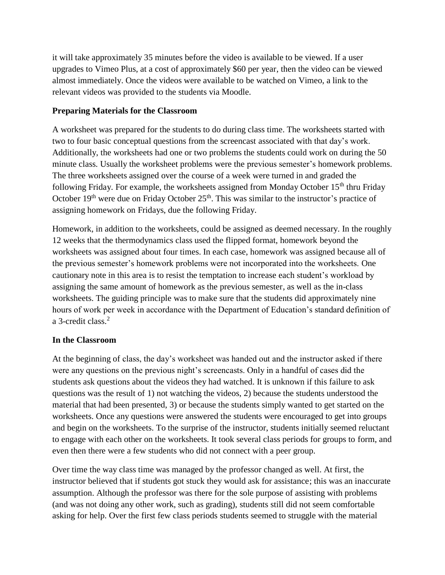it will take approximately 35 minutes before the video is available to be viewed. If a user upgrades to Vimeo Plus, at a cost of approximately \$60 per year, then the video can be viewed almost immediately. Once the videos were available to be watched on Vimeo, a link to the relevant videos was provided to the students via Moodle.

## **Preparing Materials for the Classroom**

A worksheet was prepared for the students to do during class time. The worksheets started with two to four basic conceptual questions from the screencast associated with that day's work. Additionally, the worksheets had one or two problems the students could work on during the 50 minute class. Usually the worksheet problems were the previous semester's homework problems. The three worksheets assigned over the course of a week were turned in and graded the following Friday. For example, the worksheets assigned from Monday October  $15<sup>th</sup>$  thru Friday October  $19<sup>th</sup>$  were due on Friday October  $25<sup>th</sup>$ . This was similar to the instructor's practice of assigning homework on Fridays, due the following Friday.

Homework, in addition to the worksheets, could be assigned as deemed necessary. In the roughly 12 weeks that the thermodynamics class used the flipped format, homework beyond the worksheets was assigned about four times. In each case, homework was assigned because all of the previous semester's homework problems were not incorporated into the worksheets. One cautionary note in this area is to resist the temptation to increase each student's workload by assigning the same amount of homework as the previous semester, as well as the in-class worksheets. The guiding principle was to make sure that the students did approximately nine hours of work per week in accordance with the Department of Education's standard definition of a 3-credit class.<sup>2</sup>

## **In the Classroom**

At the beginning of class, the day's worksheet was handed out and the instructor asked if there were any questions on the previous night's screencasts. Only in a handful of cases did the students ask questions about the videos they had watched. It is unknown if this failure to ask questions was the result of 1) not watching the videos, 2) because the students understood the material that had been presented, 3) or because the students simply wanted to get started on the worksheets. Once any questions were answered the students were encouraged to get into groups and begin on the worksheets. To the surprise of the instructor, students initially seemed reluctant to engage with each other on the worksheets. It took several class periods for groups to form, and even then there were a few students who did not connect with a peer group.

Over time the way class time was managed by the professor changed as well. At first, the instructor believed that if students got stuck they would ask for assistance; this was an inaccurate assumption. Although the professor was there for the sole purpose of assisting with problems (and was not doing any other work, such as grading), students still did not seem comfortable asking for help. Over the first few class periods students seemed to struggle with the material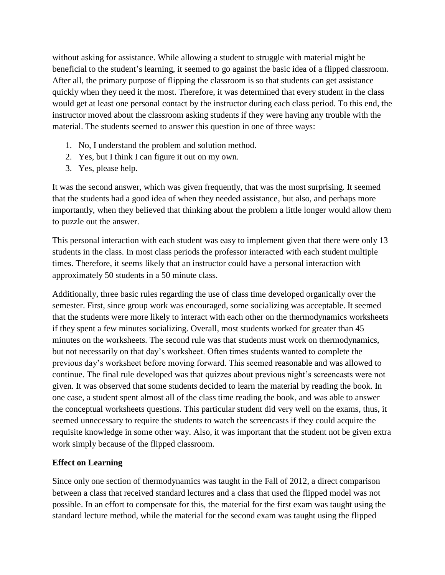without asking for assistance. While allowing a student to struggle with material might be beneficial to the student's learning, it seemed to go against the basic idea of a flipped classroom. After all, the primary purpose of flipping the classroom is so that students can get assistance quickly when they need it the most. Therefore, it was determined that every student in the class would get at least one personal contact by the instructor during each class period. To this end, the instructor moved about the classroom asking students if they were having any trouble with the material. The students seemed to answer this question in one of three ways:

- 1. No, I understand the problem and solution method.
- 2. Yes, but I think I can figure it out on my own.
- 3. Yes, please help.

It was the second answer, which was given frequently, that was the most surprising. It seemed that the students had a good idea of when they needed assistance, but also, and perhaps more importantly, when they believed that thinking about the problem a little longer would allow them to puzzle out the answer.

This personal interaction with each student was easy to implement given that there were only 13 students in the class. In most class periods the professor interacted with each student multiple times. Therefore, it seems likely that an instructor could have a personal interaction with approximately 50 students in a 50 minute class.

Additionally, three basic rules regarding the use of class time developed organically over the semester. First, since group work was encouraged, some socializing was acceptable. It seemed that the students were more likely to interact with each other on the thermodynamics worksheets if they spent a few minutes socializing. Overall, most students worked for greater than 45 minutes on the worksheets. The second rule was that students must work on thermodynamics, but not necessarily on that day's worksheet. Often times students wanted to complete the previous day's worksheet before moving forward. This seemed reasonable and was allowed to continue. The final rule developed was that quizzes about previous night's screencasts were not given. It was observed that some students decided to learn the material by reading the book. In one case, a student spent almost all of the class time reading the book, and was able to answer the conceptual worksheets questions. This particular student did very well on the exams, thus, it seemed unnecessary to require the students to watch the screencasts if they could acquire the requisite knowledge in some other way. Also, it was important that the student not be given extra work simply because of the flipped classroom.

## **Effect on Learning**

Since only one section of thermodynamics was taught in the Fall of 2012, a direct comparison between a class that received standard lectures and a class that used the flipped model was not possible. In an effort to compensate for this, the material for the first exam was taught using the standard lecture method, while the material for the second exam was taught using the flipped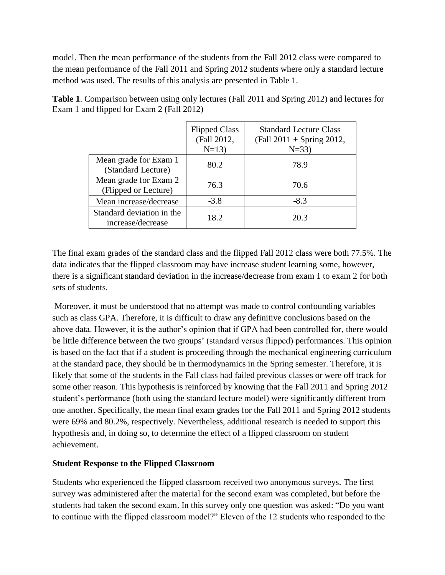model. Then the mean performance of the students from the Fall 2012 class were compared to the mean performance of the Fall 2011 and Spring 2012 students where only a standard lecture method was used. The results of this analysis are presented in [Table 1.](#page-4-0)

|                                                | <b>Flipped Class</b><br>(Fall 2012,<br>$N=13$ | <b>Standard Lecture Class</b><br>$(Fall 2011 + Spring 2012,$<br>$N = 33$ |
|------------------------------------------------|-----------------------------------------------|--------------------------------------------------------------------------|
| Mean grade for Exam 1<br>(Standard Lecture)    | 80.2                                          | 78.9                                                                     |
| Mean grade for Exam 2<br>(Flipped or Lecture)  | 76.3                                          | 70.6                                                                     |
| Mean increase/decrease                         | $-3.8$                                        | $-8.3$                                                                   |
| Standard deviation in the<br>increase/decrease | 18.2                                          | 20.3                                                                     |

<span id="page-4-0"></span>**Table 1**. Comparison between using only lectures (Fall 2011 and Spring 2012) and lectures for Exam 1 and flipped for Exam 2 (Fall 2012)

The final exam grades of the standard class and the flipped Fall 2012 class were both 77.5%. The data indicates that the flipped classroom may have increase student learning some, however, there is a significant standard deviation in the increase/decrease from exam 1 to exam 2 for both sets of students.

Moreover, it must be understood that no attempt was made to control confounding variables such as class GPA. Therefore, it is difficult to draw any definitive conclusions based on the above data. However, it is the author's opinion that if GPA had been controlled for, there would be little difference between the two groups' (standard versus flipped) performances. This opinion is based on the fact that if a student is proceeding through the mechanical engineering curriculum at the standard pace, they should be in thermodynamics in the Spring semester. Therefore, it is likely that some of the students in the Fall class had failed previous classes or were off track for some other reason. This hypothesis is reinforced by knowing that the Fall 2011 and Spring 2012 student's performance (both using the standard lecture model) were significantly different from one another. Specifically, the mean final exam grades for the Fall 2011 and Spring 2012 students were 69% and 80.2%, respectively. Nevertheless, additional research is needed to support this hypothesis and, in doing so, to determine the effect of a flipped classroom on student achievement.

## **Student Response to the Flipped Classroom**

Students who experienced the flipped classroom received two anonymous surveys. The first survey was administered after the material for the second exam was completed, but before the students had taken the second exam. In this survey only one question was asked: "Do you want to continue with the flipped classroom model?" Eleven of the 12 students who responded to the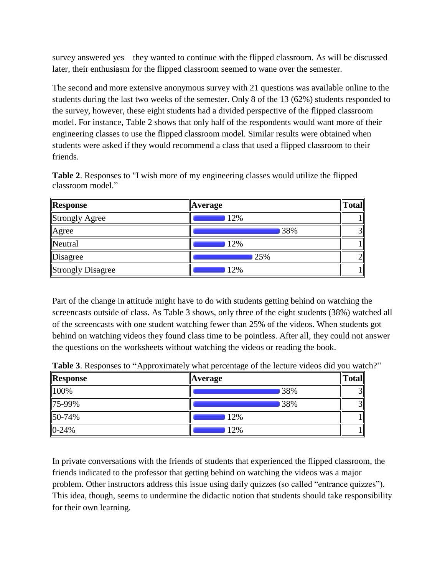survey answered yes—they wanted to continue with the flipped classroom. As will be discussed later, their enthusiasm for the flipped classroom seemed to wane over the semester.

The second and more extensive anonymous survey with 21 questions was available online to the students during the last two weeks of the semester. Only 8 of the 13 (62%) students responded to the survey, however, these eight students had a divided perspective of the flipped classroom model. For instance, [Table 2](#page-5-0) shows that only half of the respondents would want more of their engineering classes to use the flipped classroom model. Similar results were obtained when students were asked if they would recommend a class that used a flipped classroom to their friends.

<span id="page-5-0"></span>

| <b>Table 2.</b> Responses to "I wish more of my engineering classes would utilize the flipped |  |  |  |
|-----------------------------------------------------------------------------------------------|--|--|--|
| classroom model."                                                                             |  |  |  |

| Response          | <b>Average</b> | <b>Total</b> |
|-------------------|----------------|--------------|
| Strongly Agree    | 12%            |              |
| Agree             | 38%            |              |
| Neutral           | 12%            |              |
| Disagree          | 25%            |              |
| Strongly Disagree | 12%            |              |

Part of the change in attitude might have to do with students getting behind on watching the screencasts outside of class. As Table 3 shows, only three of the eight students (38%) watched all of the screencasts with one student watching fewer than 25% of the videos. When students got behind on watching videos they found class time to be pointless. After all, they could not answer the questions on the worksheets without watching the videos or reading the book.

| <b>Response</b> | <b>Average</b> | $\ Total\ $ |
|-----------------|----------------|-------------|
| 100%            | 38%            |             |
| 75-99%          | 38%            |             |
| 50-74%          | 12%            |             |
| $0-24%$         | 12%            |             |

**Table 3**. Responses to **"**Approximately what percentage of the lecture videos did you watch?"

In private conversations with the friends of students that experienced the flipped classroom, the friends indicated to the professor that getting behind on watching the videos was a major problem. Other instructors address this issue using daily quizzes (so called "entrance quizzes"). This idea, though, seems to undermine the didactic notion that students should take responsibility for their own learning.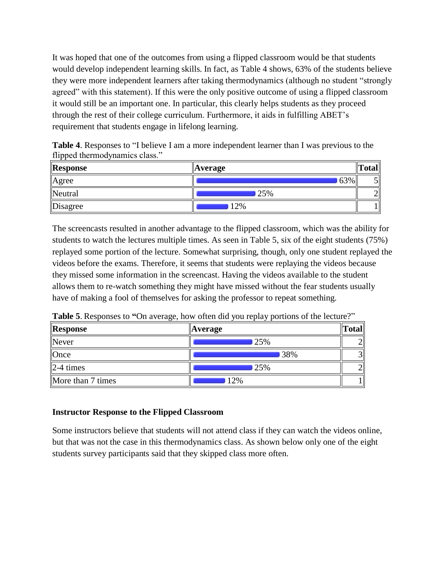It was hoped that one of the outcomes from using a flipped classroom would be that students would develop independent learning skills. In fact, as Table 4 shows, 63% of the students believe they were more independent learners after taking thermodynamics (although no student "strongly agreed" with this statement). If this were the only positive outcome of using a flipped classroom it would still be an important one. In particular, this clearly helps students as they proceed through the rest of their college curriculum. Furthermore, it aids in fulfilling ABET's requirement that students engage in lifelong learning.

**Table 4**. Responses to "I believe I am a more independent learner than I was previous to the flipped thermodynamics class."

| <b>Response</b> | Average | $\mathbf{m}$<br>`otal |
|-----------------|---------|-----------------------|
| Agree           | 63%     |                       |
| Neutral         | 25%     |                       |
| Disagree        | 12%     |                       |

The screencasts resulted in another advantage to the flipped classroom, which was the ability for students to watch the lectures multiple times. As seen in Table 5, six of the eight students (75%) replayed some portion of the lecture. Somewhat surprising, though, only one student replayed the videos before the exams. Therefore, it seems that students were replaying the videos because they missed some information in the screencast. Having the videos available to the student allows them to re-watch something they might have missed without the fear students usually have of making a fool of themselves for asking the professor to repeat something.

**Table 5**. Responses to **"**On average, how often did you replay portions of the lecture?"

| <b>Response</b>   | <b>Average</b> | Total     |
|-------------------|----------------|-----------|
| Never             | 25%            |           |
| Once              | 38%            | $\sim$    |
| $\vert$ 2-4 times | 25%            | $\bigcap$ |
| More than 7 times | 12%            |           |

## **Instructor Response to the Flipped Classroom**

Some instructors believe that students will not attend class if they can watch the videos online, but that was not the case in this thermodynamics class. As shown below only one of the eight students survey participants said that they skipped class more often.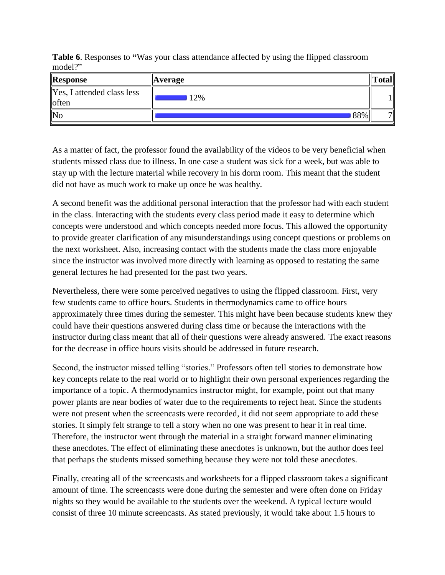**Table 6**. Responses to **"**Was your class attendance affected by using the flipped classroom model?"

| Response                            | <b>Average</b> | 'otal |
|-------------------------------------|----------------|-------|
| Yes, I attended class less<br>often | 12%            |       |
| No                                  | 88%            | -     |

As a matter of fact, the professor found the availability of the videos to be very beneficial when students missed class due to illness. In one case a student was sick for a week, but was able to stay up with the lecture material while recovery in his dorm room. This meant that the student did not have as much work to make up once he was healthy.

A second benefit was the additional personal interaction that the professor had with each student in the class. Interacting with the students every class period made it easy to determine which concepts were understood and which concepts needed more focus. This allowed the opportunity to provide greater clarification of any misunderstandings using concept questions or problems on the next worksheet. Also, increasing contact with the students made the class more enjoyable since the instructor was involved more directly with learning as opposed to restating the same general lectures he had presented for the past two years.

Nevertheless, there were some perceived negatives to using the flipped classroom. First, very few students came to office hours. Students in thermodynamics came to office hours approximately three times during the semester. This might have been because students knew they could have their questions answered during class time or because the interactions with the instructor during class meant that all of their questions were already answered. The exact reasons for the decrease in office hours visits should be addressed in future research.

Second, the instructor missed telling "stories." Professors often tell stories to demonstrate how key concepts relate to the real world or to highlight their own personal experiences regarding the importance of a topic. A thermodynamics instructor might, for example, point out that many power plants are near bodies of water due to the requirements to reject heat. Since the students were not present when the screencasts were recorded, it did not seem appropriate to add these stories. It simply felt strange to tell a story when no one was present to hear it in real time. Therefore, the instructor went through the material in a straight forward manner eliminating these anecdotes. The effect of eliminating these anecdotes is unknown, but the author does feel that perhaps the students missed something because they were not told these anecdotes.

Finally, creating all of the screencasts and worksheets for a flipped classroom takes a significant amount of time. The screencasts were done during the semester and were often done on Friday nights so they would be available to the students over the weekend. A typical lecture would consist of three 10 minute screencasts. As stated previously, it would take about 1.5 hours to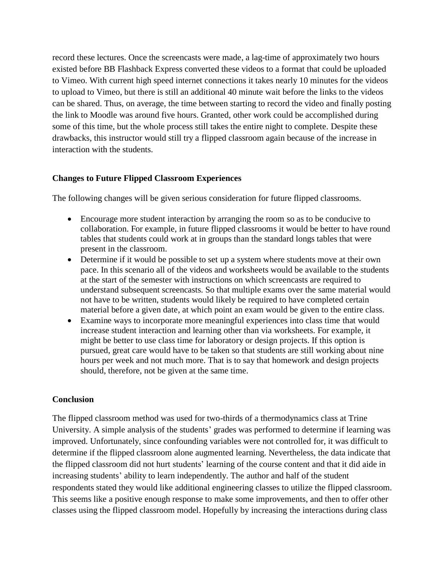record these lectures. Once the screencasts were made, a lag-time of approximately two hours existed before BB Flashback Express converted these videos to a format that could be uploaded to Vimeo. With current high speed internet connections it takes nearly 10 minutes for the videos to upload to Vimeo, but there is still an additional 40 minute wait before the links to the videos can be shared. Thus, on average, the time between starting to record the video and finally posting the link to Moodle was around five hours. Granted, other work could be accomplished during some of this time, but the whole process still takes the entire night to complete. Despite these drawbacks, this instructor would still try a flipped classroom again because of the increase in interaction with the students.

#### **Changes to Future Flipped Classroom Experiences**

The following changes will be given serious consideration for future flipped classrooms.

- Encourage more student interaction by arranging the room so as to be conducive to collaboration. For example, in future flipped classrooms it would be better to have round tables that students could work at in groups than the standard longs tables that were present in the classroom.
- Determine if it would be possible to set up a system where students move at their own pace. In this scenario all of the videos and worksheets would be available to the students at the start of the semester with instructions on which screencasts are required to understand subsequent screencasts. So that multiple exams over the same material would not have to be written, students would likely be required to have completed certain material before a given date, at which point an exam would be given to the entire class.
- Examine ways to incorporate more meaningful experiences into class time that would increase student interaction and learning other than via worksheets. For example, it might be better to use class time for laboratory or design projects. If this option is pursued, great care would have to be taken so that students are still working about nine hours per week and not much more. That is to say that homework and design projects should, therefore, not be given at the same time.

#### **Conclusion**

The flipped classroom method was used for two-thirds of a thermodynamics class at Trine University. A simple analysis of the students' grades was performed to determine if learning was improved. Unfortunately, since confounding variables were not controlled for, it was difficult to determine if the flipped classroom alone augmented learning. Nevertheless, the data indicate that the flipped classroom did not hurt students' learning of the course content and that it did aide in increasing students' ability to learn independently. The author and half of the student respondents stated they would like additional engineering classes to utilize the flipped classroom. This seems like a positive enough response to make some improvements, and then to offer other classes using the flipped classroom model. Hopefully by increasing the interactions during class